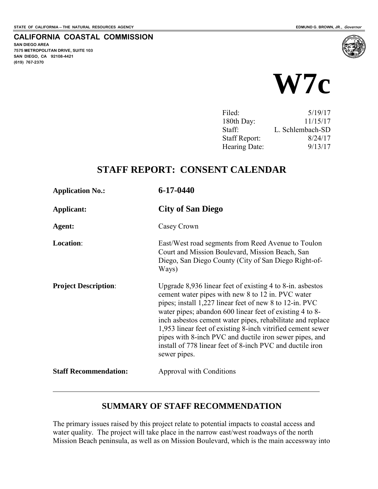**SAN DIEGO AREA** 

**(619) 767-2370**

**7575 METROPOLITAN DRIVE, SUITE 103 SAN DIEGO, CA 92108-4421**

 $\overline{a}$ 

**CALIFORNIA COASTAL COMMISSION** 



| Filed:               | 5/19/17          |
|----------------------|------------------|
| 180th Day:           | 11/15/17         |
| Staff:               | L. Schlembach-SD |
| <b>Staff Report:</b> | 8/24/17          |
| Hearing Date:        | 9/13/17          |
|                      |                  |

# **STAFF REPORT: CONSENT CALENDAR**

| <b>Application No.:</b>      | $6 - 17 - 0440$                                                                                                                                                                                                                                                                                                                                                                                                                                                                                              |
|------------------------------|--------------------------------------------------------------------------------------------------------------------------------------------------------------------------------------------------------------------------------------------------------------------------------------------------------------------------------------------------------------------------------------------------------------------------------------------------------------------------------------------------------------|
| Applicant:                   | <b>City of San Diego</b>                                                                                                                                                                                                                                                                                                                                                                                                                                                                                     |
| Agent:                       | Casey Crown                                                                                                                                                                                                                                                                                                                                                                                                                                                                                                  |
| Location:                    | East/West road segments from Reed Avenue to Toulon<br>Court and Mission Boulevard, Mission Beach, San<br>Diego, San Diego County (City of San Diego Right-of-<br>Ways)                                                                                                                                                                                                                                                                                                                                       |
| <b>Project Description:</b>  | Upgrade $8,936$ linear feet of existing 4 to 8-in. asbestos<br>cement water pipes with new 8 to 12 in. PVC water<br>pipes; install 1,227 linear feet of new 8 to 12-in. PVC<br>water pipes; abandon 600 linear feet of existing 4 to 8-<br>inch asbestos cement water pipes, rehabilitate and replace<br>1,953 linear feet of existing 8-inch vitrified cement sewer<br>pipes with 8-inch PVC and ductile iron sewer pipes, and<br>install of 778 linear feet of 8-inch PVC and ductile iron<br>sewer pipes. |
| <b>Staff Recommendation:</b> | Approval with Conditions                                                                                                                                                                                                                                                                                                                                                                                                                                                                                     |

## **SUMMARY OF STAFF RECOMMENDATION**

The primary issues raised by this project relate to potential impacts to coastal access and water quality. The project will take place in the narrow east/west roadways of the north Mission Beach peninsula, as well as on Mission Boulevard, which is the main accessway into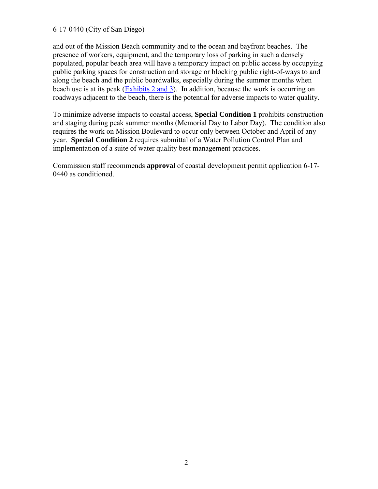#### 6-17-0440 (City of San Diego)

and out of the Mission Beach community and to the ocean and bayfront beaches. The presence of workers, equipment, and the temporary loss of parking in such a densely populated, popular beach area will have a temporary impact on public access by occupying public parking spaces for construction and storage or blocking public right-of-ways to and along the beach and the public boardwalks, especially during the summer months when beach use is at its peak [\(Exhibits 2 and 3\)](https://documents.coastal.ca.gov/reports/2017/9/W7c/W7c-9-2017-exhibits.pdf). In addition, because the work is occurring on roadways adjacent to the beach, there is the potential for adverse impacts to water quality.

To minimize adverse impacts to coastal access, **Special Condition 1** prohibits construction and staging during peak summer months (Memorial Day to Labor Day). The condition also requires the work on Mission Boulevard to occur only between October and April of any year. **Special Condition 2** requires submittal of a Water Pollution Control Plan and implementation of a suite of water quality best management practices.

Commission staff recommends **approval** of coastal development permit application 6-17- 0440 as conditioned.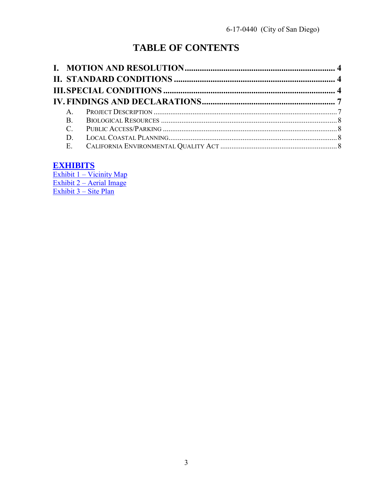# **TABLE OF CONTENTS**

| $\mathsf{A}$   |  |
|----------------|--|
| $\mathbf{B}$ . |  |
| $\mathbf C$    |  |
| D              |  |
|                |  |

# **EXHIBITS**

Exhibit  $1 -$ Vicinity Map Exhibit  $2 -$  Aerial Image Exhibit 3 – Site Plan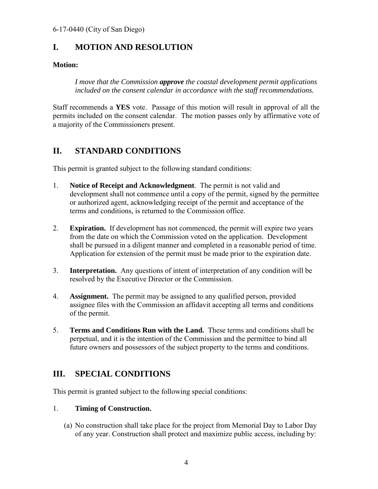# <span id="page-3-0"></span>**I. MOTION AND RESOLUTION**

### **Motion:**

*I move that the Commission approve the coastal development permit applications included on the consent calendar in accordance with the staff recommendations.* 

Staff recommends a **YES** vote. Passage of this motion will result in approval of all the permits included on the consent calendar. The motion passes only by affirmative vote of a majority of the Commissioners present.

# <span id="page-3-1"></span>**II. STANDARD CONDITIONS**

This permit is granted subject to the following standard conditions:

- 1. **Notice of Receipt and Acknowledgment**. The permit is not valid and development shall not commence until a copy of the permit, signed by the permittee or authorized agent, acknowledging receipt of the permit and acceptance of the terms and conditions, is returned to the Commission office.
- 2. **Expiration.** If development has not commenced, the permit will expire two years from the date on which the Commission voted on the application. Development shall be pursued in a diligent manner and completed in a reasonable period of time. Application for extension of the permit must be made prior to the expiration date.
- 3. **Interpretation.** Any questions of intent of interpretation of any condition will be resolved by the Executive Director or the Commission.
- 4. **Assignment.** The permit may be assigned to any qualified person, provided assignee files with the Commission an affidavit accepting all terms and conditions of the permit.
- 5. **Terms and Conditions Run with the Land.** These terms and conditions shall be perpetual, and it is the intention of the Commission and the permittee to bind all future owners and possessors of the subject property to the terms and conditions.

# <span id="page-3-2"></span>**III. SPECIAL CONDITIONS**

This permit is granted subject to the following special conditions:

### 1. **Timing of Construction.**

(a) No construction shall take place for the project from Memorial Day to Labor Day of any year. Construction shall protect and maximize public access, including by: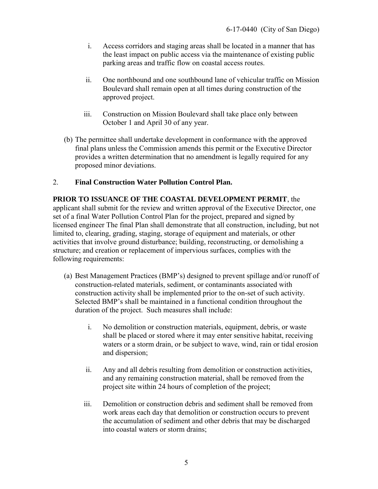- i. Access corridors and staging areas shall be located in a manner that has the least impact on public access via the maintenance of existing public parking areas and traffic flow on coastal access routes.
- ii. One northbound and one southbound lane of vehicular traffic on Mission Boulevard shall remain open at all times during construction of the approved project.
- iii. Construction on Mission Boulevard shall take place only between October 1 and April 30 of any year.
- (b) The permittee shall undertake development in conformance with the approved final plans unless the Commission amends this permit or the Executive Director provides a written determination that no amendment is legally required for any proposed minor deviations.

#### 2. **Final Construction Water Pollution Control Plan.**

#### **PRIOR TO ISSUANCE OF THE COASTAL DEVELOPMENT PERMIT**, the

applicant shall submit for the review and written approval of the Executive Director, one set of a final Water Pollution Control Plan for the project, prepared and signed by licensed engineer The final Plan shall demonstrate that all construction, including, but not limited to, clearing, grading, staging, storage of equipment and materials, or other activities that involve ground disturbance; building, reconstructing, or demolishing a structure; and creation or replacement of impervious surfaces, complies with the following requirements:

- (a) Best Management Practices (BMP's) designed to prevent spillage and/or runoff of construction-related materials, sediment, or contaminants associated with construction activity shall be implemented prior to the on-set of such activity. Selected BMP's shall be maintained in a functional condition throughout the duration of the project. Such measures shall include:
	- i. No demolition or construction materials, equipment, debris, or waste shall be placed or stored where it may enter sensitive habitat, receiving waters or a storm drain, or be subject to wave, wind, rain or tidal erosion and dispersion;
	- ii. Any and all debris resulting from demolition or construction activities, and any remaining construction material, shall be removed from the project site within 24 hours of completion of the project;
	- iii. Demolition or construction debris and sediment shall be removed from work areas each day that demolition or construction occurs to prevent the accumulation of sediment and other debris that may be discharged into coastal waters or storm drains;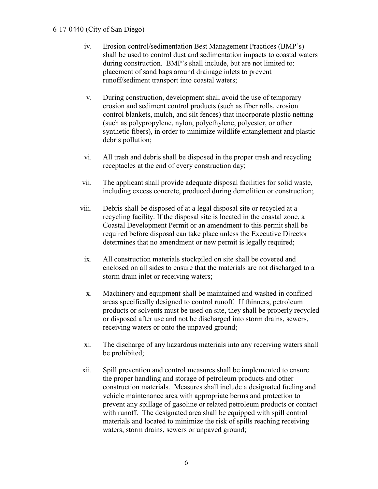#### 6-17-0440 (City of San Diego)

- iv. Erosion control/sedimentation Best Management Practices (BMP's) shall be used to control dust and sedimentation impacts to coastal waters during construction. BMP's shall include, but are not limited to: placement of sand bags around drainage inlets to prevent runoff/sediment transport into coastal waters;
- v. During construction, development shall avoid the use of temporary erosion and sediment control products (such as fiber rolls, erosion control blankets, mulch, and silt fences) that incorporate plastic netting (such as polypropylene, nylon, polyethylene, polyester, or other synthetic fibers), in order to minimize wildlife entanglement and plastic debris pollution;
- vi. All trash and debris shall be disposed in the proper trash and recycling receptacles at the end of every construction day;
- vii. The applicant shall provide adequate disposal facilities for solid waste, including excess concrete, produced during demolition or construction;
- viii. Debris shall be disposed of at a legal disposal site or recycled at a recycling facility. If the disposal site is located in the coastal zone, a Coastal Development Permit or an amendment to this permit shall be required before disposal can take place unless the Executive Director determines that no amendment or new permit is legally required;
	- ix. All construction materials stockpiled on site shall be covered and enclosed on all sides to ensure that the materials are not discharged to a storm drain inlet or receiving waters;
	- x. Machinery and equipment shall be maintained and washed in confined areas specifically designed to control runoff. If thinners, petroleum products or solvents must be used on site, they shall be properly recycled or disposed after use and not be discharged into storm drains, sewers, receiving waters or onto the unpaved ground;
- xi. The discharge of any hazardous materials into any receiving waters shall be prohibited;
- xii. Spill prevention and control measures shall be implemented to ensure the proper handling and storage of petroleum products and other construction materials. Measures shall include a designated fueling and vehicle maintenance area with appropriate berms and protection to prevent any spillage of gasoline or related petroleum products or contact with runoff. The designated area shall be equipped with spill control materials and located to minimize the risk of spills reaching receiving waters, storm drains, sewers or unpaved ground;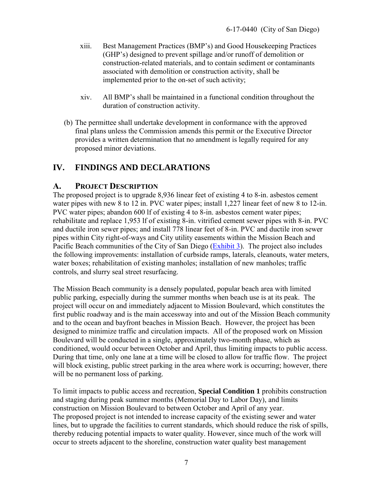- xiii. Best Management Practices (BMP's) and Good Housekeeping Practices (GHP's) designed to prevent spillage and/or runoff of demolition or construction-related materials, and to contain sediment or contaminants associated with demolition or construction activity, shall be implemented prior to the on-set of such activity;
- xiv. All BMP's shall be maintained in a functional condition throughout the duration of construction activity.
- (b) The permittee shall undertake development in conformance with the approved final plans unless the Commission amends this permit or the Executive Director provides a written determination that no amendment is legally required for any proposed minor deviations.

## <span id="page-6-0"></span>**IV. FINDINGS AND DECLARATIONS**

### <span id="page-6-1"></span>**A. PROJECT DESCRIPTION**

The proposed project is to upgrade 8,936 linear feet of existing 4 to 8-in. asbestos cement water pipes with new 8 to 12 in. PVC water pipes; install 1,227 linear feet of new 8 to 12-in. PVC water pipes; abandon 600 lf of existing 4 to 8-in. asbestos cement water pipes; rehabilitate and replace 1,953 lf of existing 8-in. vitrified cement sewer pipes with 8-in. PVC and ductile iron sewer pipes; and install 778 linear feet of 8-in. PVC and ductile iron sewer pipes within City right-of-ways and City utility easements within the Mission Beach and Pacific Beach communities of the City of San Diego [\(Exhibit 3\)](https://documents.coastal.ca.gov/reports/2017/9/w7c/w7c-9-2017-exhibits.pdf). The project also includes the following improvements: installation of curbside ramps, laterals, cleanouts, water meters, water boxes; rehabilitation of existing manholes; installation of new manholes; traffic controls, and slurry seal street resurfacing.

The Mission Beach community is a densely populated, popular beach area with limited public parking, especially during the summer months when beach use is at its peak. The project will occur on and immediately adjacent to Mission Boulevard, which constitutes the first public roadway and is the main accessway into and out of the Mission Beach community and to the ocean and bayfront beaches in Mission Beach. However, the project has been designed to minimize traffic and circulation impacts. All of the proposed work on Mission Boulevard will be conducted in a single, approximately two-month phase, which as conditioned, would occur between October and April, thus limiting impacts to public access. During that time, only one lane at a time will be closed to allow for traffic flow. The project will block existing, public street parking in the area where work is occurring; however, there will be no permanent loss of parking.

To limit impacts to public access and recreation, **Special Condition 1** prohibits construction and staging during peak summer months (Memorial Day to Labor Day), and limits construction on Mission Boulevard to between October and April of any year. The proposed project is not intended to increase capacity of the existing sewer and water lines, but to upgrade the facilities to current standards, which should reduce the risk of spills, thereby reducing potential impacts to water quality. However, since much of the work will occur to streets adjacent to the shoreline, construction water quality best management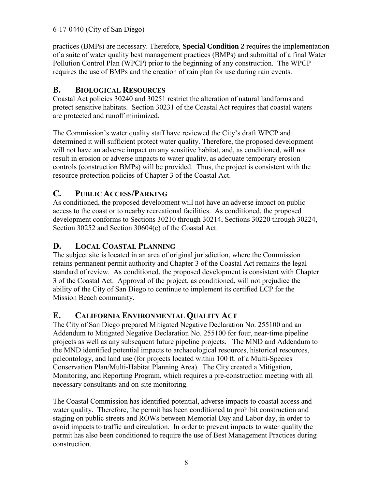#### 6-17-0440 (City of San Diego)

practices (BMPs) are necessary. Therefore, **Special Condition 2** requires the implementation of a suite of water quality best management practices (BMPs) and submittal of a final Water Pollution Control Plan (WPCP) prior to the beginning of any construction. The WPCP requires the use of BMPs and the creation of rain plan for use during rain events.

## <span id="page-7-0"></span>**B. BIOLOGICAL RESOURCES**

Coastal Act policies 30240 and 30251 restrict the alteration of natural landforms and protect sensitive habitats. Section 30231 of the Coastal Act requires that coastal waters are protected and runoff minimized.

The Commission's water quality staff have reviewed the City's draft WPCP and determined it will sufficient protect water quality. Therefore, the proposed development will not have an adverse impact on any sensitive habitat, and, as conditioned, will not result in erosion or adverse impacts to water quality, as adequate temporary erosion controls (construction BMPs) will be provided. Thus, the project is consistent with the resource protection policies of Chapter 3 of the Coastal Act.

## <span id="page-7-1"></span>**C. PUBLIC ACCESS/PARKING**

As conditioned, the proposed development will not have an adverse impact on public access to the coast or to nearby recreational facilities. As conditioned, the proposed development conforms to Sections 30210 through 30214, Sections 30220 through 30224, Section 30252 and Section 30604(c) of the Coastal Act.

## <span id="page-7-2"></span>**D. LOCAL COASTAL PLANNING**

The subject site is located in an area of original jurisdiction, where the Commission retains permanent permit authority and Chapter 3 of the Coastal Act remains the legal standard of review. As conditioned, the proposed development is consistent with Chapter 3 of the Coastal Act. Approval of the project, as conditioned, will not prejudice the ability of the City of San Diego to continue to implement its certified LCP for the Mission Beach community.

## <span id="page-7-3"></span>**E. CALIFORNIA ENVIRONMENTAL QUALITY ACT**

The City of San Diego prepared Mitigated Negative Declaration No. 255100 and an Addendum to Mitigated Negative Declaration No. 255100 for four, near-time pipeline projects as well as any subsequent future pipeline projects. The MND and Addendum to the MND identified potential impacts to archaeological resources, historical resources, paleontology, and land use (for projects located within 100 ft. of a Multi-Species Conservation Plan/Multi-Habitat Planning Area). The City created a Mitigation, Monitoring, and Reporting Program, which requires a pre-construction meeting with all necessary consultants and on-site monitoring.

The Coastal Commission has identified potential, adverse impacts to coastal access and water quality. Therefore, the permit has been conditioned to prohibit construction and staging on public streets and ROWs between Memorial Day and Labor day, in order to avoid impacts to traffic and circulation. In order to prevent impacts to water quality the permit has also been conditioned to require the use of Best Management Practices during construction.